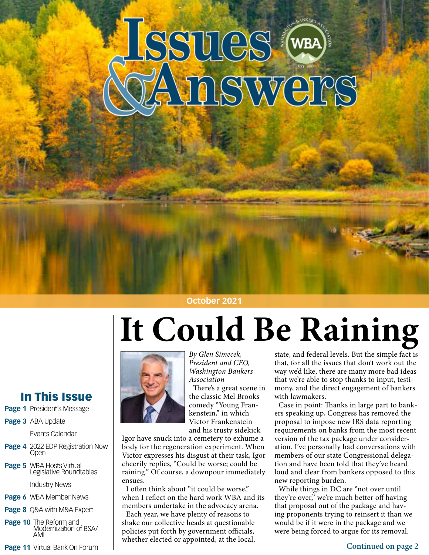# Issues (WB)

#### **October 2021**

# **It Could Be Raining**



*By Glen Simecek, President and CEO, Washington Bankers Association*

There's a great scene in the classic Mel Brooks comedy "Young Frankenstein," in which Victor Frankenstein and his trusty sidekick

Igor have snuck into a cemetery to exhume a body for the regeneration experiment. When Victor expresses his disgust at their task, Igor cheerily replies, "Could be worse; could be raining." Of course, a downpour immediately ensues.

I often think about "it could be worse," when I reflect on the hard work WBA and its members undertake in the advocacy arena.

Each year, we have plenty of reasons to shake our collective heads at questionable policies put forth by government officials, whether elected or appointed, at the local,

state, and federal levels. But the simple fact is that, for all the issues that don't work out the way we'd like, there are many more bad ideas that we're able to stop thanks to input, testimony, and the direct engagement of bankers with lawmakers.

Case in point: Thanks in large part to bankers speaking up, Congress has removed the proposal to impose new IRS data reporting requirements on banks from the most recent version of the tax package under consideration. I've personally had conversations with members of our state Congressional delegation and have been told that they've heard loud and clear from bankers opposed to this new reporting burden.

While things in DC are "not over until they're over," we're much better off having that proposal out of the package and having proponents trying to reinsert it than we would be if it were in the package and we were being forced to argue for its removal.

## In This Issue

- **Page 1** President's Message
- **Page 3** ABA Update

Events Calendar

- **Page 4** 2022 EDP Registration Now Open
- **Page 5** WBA Hosts Virtual Legislative Roundtables

Industry News

- **Page 6** WBA Member News
- **Page 8** Q&A with M&A Expert
- **Page 10** The Reform and Modernization of BSA/ AML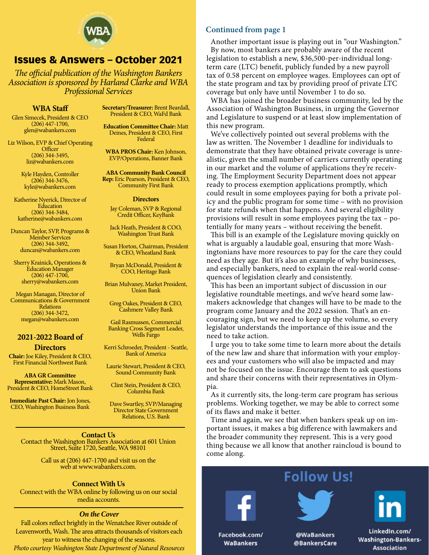

#### Issues & Answers – October 2021

*The official publication of the Washington Bankers Association is sponsored by Harland Clarke and WBA Professional Services*

#### **WBA Staff**

Glen Simecek, President & CEO (206) 447-1700, glen@wabankers.com

Liz Wilson, EVP & Chief Operating **Officer** (206) 344-3495, liz@wabankers.com

> Kyle Hayden, Controller (206) 344-3476, kyle@wabankers.com

Katherine Nyerick, Director of **Education** (206) 344-3484, katherine@wabankers.com

Duncan Taylor, SVP, Programs & Member Services (206) 344-3492, duncan@wabankers.com

Sherry Krainick, Operations & Education Manager (206) 447-1700, sherry@wabankers.com

Megan Managan, Director of Communications & Government Relations (206) 344-3472, megan@wabankers.com

#### **2021-2022 Board of Directors**

**Chair:** Joe Kiley, President & CEO, First Financial Northwest Bank

**ABA GR Committee Representative:** Mark Mason, President & CEO, HomeStreet Bank

**Immediate Past Chair:** Jon Jones, CEO, Washington Business Bank **Secretary/Treasurer:** Brent Beardall, President & CEO, WaFd Bank

**Education Committee Chair:** Matt Deines, President & CEO, First Federal

**WBA PROS Chair:** Ken Johnson, EVP/Operations, Banner Bank

**ABA Community Bank Council Rep:** Eric Pearson, President & CEO, Community First Bank

#### **Directors**

Jay Coleman, SVP & Regional Credit Officer, KeyBank

Jack Heath, President & COO, Washington Trust Bank

Susan Horton, Chairman, President & CEO, Wheatland Bank

Bryan McDonald, President & COO, Heritage Bank

Brian Mulvaney, Market President, Union Bank

Greg Oakes, President & CEO, Cashmere Valley Bank

Gail Rasmussen, Commercial Banking Cross Segment Leader, Wells Fargo

Kerri Schroeder, President - Seattle, Bank of America

Laurie Stewart, President & CEO, Sound Community Bank

Clint Stein, President & CEO, Columbia Bank

Dave Swartley, SVP/Managing Director State Government Relations, U.S. Bank

**Contact Us** Contact the Washington Bankers Association at 601 Union Street, Suite 1720, Seattle, WA 98101

> Call us at (206) 447-1700 and visit us on the web at www.wabankers.com.

#### **Connect With Us**

Connect with the WBA online by following us on our social media accounts.

#### *On the Cover*

Fall colors reflect brightly in the Wenatchee River outside of Leavenworth, Wash. The area attracts thousands of visitors each year to witness the changing of the seasons. *Photo courtesy Washington State Department of Natural Resources*

#### **Continued from page 1**

Another important issue is playing out in "our Washington." By now, most bankers are probably aware of the recent legislation to establish a new, \$36,500-per-individual longterm care (LTC) benefit, publicly funded by a new payroll tax of 0.58 percent on employee wages. Employees can opt of the state program and tax by providing proof of private LTC coverage but only have until November 1 to do so.

WBA has joined the broader business community, led by the Association of Washington Business, in urging the Governor and Legislature to suspend or at least slow implementation of this new program.

We've collectively pointed out several problems with the law as written. The November 1 deadline for individuals to demonstrate that they have obtained private coverage is unrealistic, given the small number of carriers currently operating in our market and the volume of applications they're receiving. The Employment Security Department does not appear ready to process exemption applications promptly, which could result in some employees paying for both a private policy and the public program for some time – with no provision for state refunds when that happens. And several eligibility provisions will result in some employees paying the tax – potentially for many years – without receiving the benefit.

This bill is an example of the Legislature moving quickly on what is arguably a laudable goal, ensuring that more Washingtonians have more resources to pay for the care they could need as they age. But it's also an example of why businesses, and especially bankers, need to explain the real-world consequences of legislation clearly and consistently.

This has been an important subject of discussion in our legislative roundtable meetings, and we've heard some lawmakers acknowledge that changes will have to be made to the program come January and the 2022 session. That's an encouraging sign, but we need to keep up the volume, so every legislator understands the importance of this issue and the need to take action.

I urge you to take some time to learn more about the details of the new law and share that information with your employees and your customers who will also be impacted and may not be focused on the issue. Encourage them to ask questions and share their concerns with their representatives in Olympia.

As it currently sits, the long-term care program has serious problems. Working together, we may be able to correct some of its flaws and make it better.

Time and again, we see that when bankers speak up on important issues, it makes a big difference with lawmakers and the broader community they represent. This is a very good thing because we all know that another raincloud is bound to come along.

### **Follow Us!**





@WaBankers @BankersCare

LinkedIn.com/ **Washington-Bankers-Association** 

Facebook.com/ **WaBankers**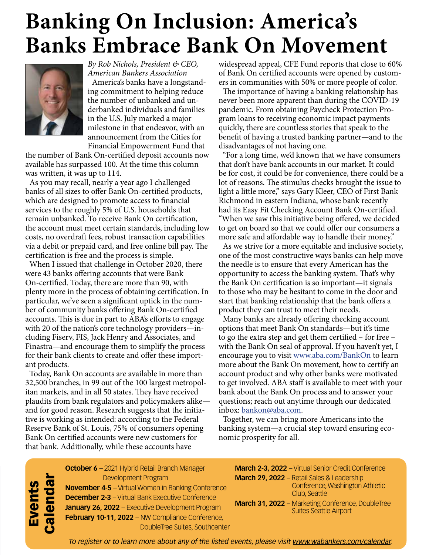# **Banking On Inclusion: America's Banks Embrace Bank On Movement**



*By Rob Nichols, President & CEO, American Bankers Association* America's banks have a longstanding commitment to helping reduce the number of unbanked and underbanked individuals and families in the U.S. July marked a major milestone in that endeavor, with an announcement from the Cities for Financial Empowerment Fund that

the number of Bank On-certified deposit accounts now available has surpassed 100. At the time this column was written, it was up to 114.

As you may recall, nearly a year ago I challenged banks of all sizes to offer Bank On-certified products, which are designed to promote access to financial services to the roughly 5% of U.S. households that remain unbanked. To receive Bank On certification, the account must meet certain standards, including low costs, no overdraft fees, robust transaction capabilities via a debit or prepaid card, and free online bill pay. The certification is free and the process is simple.

When I issued that challenge in October 2020, there were 43 banks offering accounts that were Bank On-certified. Today, there are more than 90, with plenty more in the process of obtaining certification. In particular, we've seen a significant uptick in the number of community banks offering Bank On-certified accounts. This is due in part to ABA's efforts to engage with 20 of the nation's core technology providers—including Fiserv, FIS, Jack Henry and Associates, and Finastra—and encourage them to simplify the process for their bank clients to create and offer these important products.

Today, Bank On accounts are available in more than 32,500 branches, in 99 out of the 100 largest metropolitan markets, and in all 50 states. They have received plaudits from bank regulators and policymakers alike and for good reason. Research suggests that the initiative is working as intended: according to the Federal Reserve Bank of St. Louis, 75% of consumers opening Bank On certified accounts were new customers for that bank. Additionally, while these accounts have

widespread appeal, CFE Fund reports that close to 60% of Bank On certified accounts were opened by customers in communities with 50% or more people of color.

The importance of having a banking relationship has never been more apparent than during the COVID-19 pandemic. From obtaining Paycheck Protection Program loans to receiving economic impact payments quickly, there are countless stories that speak to the benefit of having a trusted banking partner—and to the disadvantages of not having one.

"For a long time, we'd known that we have consumers that don't have bank accounts in our market. It could be for cost, it could be for convenience, there could be a lot of reasons. The stimulus checks brought the issue to light a little more," says Gary Kleer, CEO of First Bank Richmond in eastern Indiana, whose bank recently had its Easy Fit Checking Account Bank On-certified. "When we saw this initiative being offered, we decided to get on board so that we could offer our consumers a more safe and affordable way to handle their money."

As we strive for a more equitable and inclusive society, one of the most constructive ways banks can help move the needle is to ensure that every American has the opportunity to access the banking system. That's why the Bank On certification is so important—it signals to those who may be hesitant to come in the door and start that banking relationship that the bank offers a product they can trust to meet their needs.

Many banks are already offering checking account options that meet Bank On standards—but it's time to go the extra step and get them certified – for free – with the Bank On seal of approval. If you haven't yet, I encourage you to visit www.aba.com/BankOn to learn more about the Bank On movement, how to certify an account product and why other banks were motivated to get involved. ABA staff is available to meet with your bank about the Bank On process and to answer your questions; reach out anytime through our dedicated inbox: bankon@aba.com.

Together, we can bring more Americans into the banking system—a crucial step toward ensuring economic prosperity for all.

**October 6** – 2021 Hybrid Retail Branch Manager Development Program **November 4-5** – Virtual Women in Banking Conference **December 2-3** – Virtual Bank Executive Conference **January 26, 2022** – Executive Development Program **February 10-11, 2022** – NW Compliance Conference, DoubleTree Suites, Southcenter Events<br>Calendar Calendar

**March 2-3, 2022** – Virtual Senior Credit Conference **March 29, 2022** – Retail Sales & Leadership Conference, Washington Athletic Club, Seattle **March 31, 2022** – Marketing Conference, DoubleTree Suites Seattle Airport

*To register or to learn more about any of the listed events, please visit www.wabankers.com/calendar.*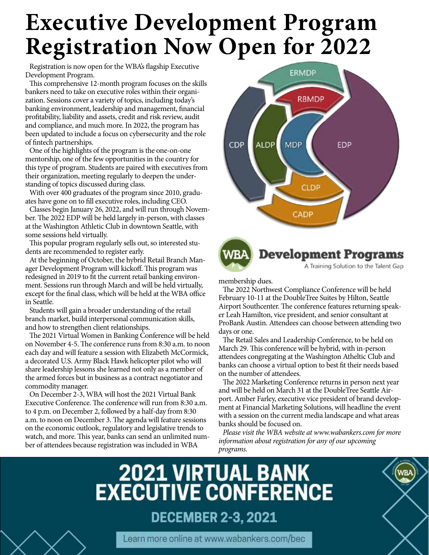# **Executive Development Program Registration Now Open for 2022**

Registration is now open for the WBA's flagship Executive Development Program.

This comprehensive 12-month program focuses on the skills bankers need to take on executive roles within their organization. Sessions cover a variety of topics, including today's banking environment, leadership and management, financial profitability, liability and assets, credit and risk review, audit and compliance, and much more. In 2022, the program has been updated to include a focus on cybersecurity and the role of fintech partnerships.

One of the highlights of the program is the one-on-one mentorship, one of the few opportunities in the country for this type of program. Students are paired with executives from their organization, meeting regularly to deepen the understanding of topics discussed during class.

With over 400 graduates of the program since 2010, graduates have gone on to fill executive roles, including CEO.

Classes begin January 26, 2022, and will run through November. The 2022 EDP will be held largely in-person, with classes at the Washington Athletic Club in downtown Seattle, with some sessions held virtually.

This popular program regularly sells out, so interested students are recommended to register early.

At the beginning of October, the hybrid Retail Branch Manager Development Program will kickoff. This program was redesigned in 2019 to fit the current retail banking environment. Sessions run through March and will be held virtually, except for the final class, which will be held at the WBA office in Seattle.

Students will gain a broader understanding of the retail branch market, build interpersonal communication skills, and how to strengthen client relationships.

The 2021 Virtual Women in Banking Conference will be held on November 4-5. The conference runs from 8:30 a.m. to noon each day and will feature a session with Elizabeth McCormick, a decorated U.S. Army Black Hawk helicopter pilot who will share leadership lessons she learned not only as a member of the armed forces but in business as a contract negotiator and commodity manager.

On December 2-3, WBA will host the 2021 Virtual Bank Executive Conference. The conference will run from 8:30 a.m. to 4 p.m. on December 2, followed by a half-day from 8:30 a.m. to noon on December 3. The agenda will feature sessions on the economic outlook, regulatory and legislative trends to watch, and more. This year, banks can send an unlimited number of attendees because registration was included in WBA





membership dues.

The 2022 Northwest Compliance Conference will be held February 10-11 at the DoubleTree Suites by Hilton, Seattle Airport Southcenter. The conference features returning speaker Leah Hamilton, vice president, and senior consultant at ProBank Austin. Attendees can choose between attending two days or one.

The Retail Sales and Leadership Conference, to be held on March 29. This conference will be hybrid, with in-person attendees congregating at the Washington Atheltic Club and banks can choose a virtual option to best fit their needs based on the number of attendees.

The 2022 Marketing Conference returns in person next year and will be held on March 31 at the DoubleTree Seattle Airport. Amber Farley, executive vice president of brand development at Financial Marketing Solutions, will headline the event with a session on the current media landscape and what areas banks should be focused on.

*Please visit the WBA website at www.wabankers.com for more information about registration for any of our upcoming programs.*

WBJ





Learn more online at www.wabankers.com/bec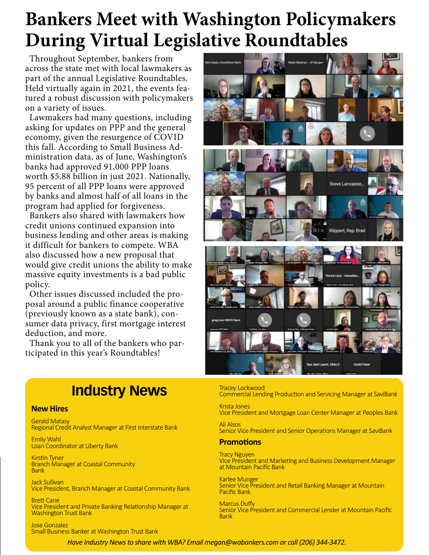## **Bankers Meet with Washington Policymakers During Virtual Legislative Roundtables**

Throughout September, bankers from across the state met with local lawmakers as part of the annual Legislative Roundtables. Held virtually again in 2021, the events featured a robust discussion with policymakers on a variety of issues.

Lawmakers had many questions, including asking for updates on PPP and the general economy, given the resurgence of COVID this fall. According to Small Business Administration data, as of June, Washington's banks had approved 91,000 PPP loans worth \$5.88 billion in just 2021. Nationally, 95 percent of all PPP loans were approved by banks and almost half of all loans in the program had applied for forgiveness.

Bankers also shared with lawmakers how credit unions continued expansion into business lending and other areas is making it difficult for bankers to compete. WBA also discussed how a new proposal that would give credit unions the ability to make massive equity investments is a bad public policy.

Other issues discussed included the proposal around a public finance cooperative (previously known as a state bank), consumer data privacy, first mortgage interest deduction, and more.

Thank you to all of the bankers who participated in this year's Roundtables!

## **Industry News**

#### **New Hires**

Gerald Matasy Regional Credit Analyst Manager at First Interstate Bank

Emily Wahl Loan Coordinator at Liberty Bank

Kirstin Tyner Branch Manager at Coastal Community Bank

Jack Sullivan Vice President, Branch Manager at Coastal Community Bank

Brett Cane Vice President and Private Banking Relationship Manager at Washington Trust Bank

Jose Gonzalez Small Business Banker at Washington Trust Bank



Tracey Lockwood Commercial Lending Production and Servicing Manager at SaviBank

Krista Jones Vice President and Mortgage Loan Center Manager at Peoples Bank

Ali Alsos Senior Vice President and Senior Operations Manager at SaviBank

#### **Promotions**

Tracy Nguyen Vice President and Marketing and Business Development Manager at Mountain Pacific Bank

Karlee Munger Senior Vice President and Retail Banking Manager at Mountain Pacific Bank

Marcus Duffy Senior Vice President and Commercial Lender at Mountain Pacific Bank

*Have Industry News to share with WBA? Email megan@wabankers.com or call (206) 344-3472.*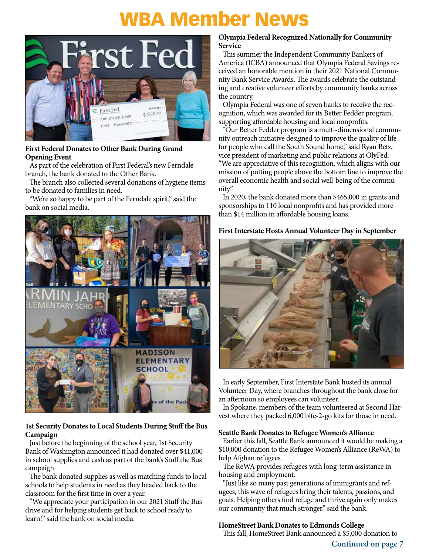## WBA Member News



#### **First Federal Donates to Other Bank During Grand Opening Event**

As part of the celebration of First Federal's new Ferndale branch, the bank donated to the Other Bank.

The branch also collected several donations of hygiene items to be donated to families in need.

"We're so happy to be part of the Ferndale spirit," said the bank on social media.



#### **1st Security Donates to Local Students During Stuff the Bus Campaign**

Just before the beginning of the school year, 1st Security Bank of Washington announced it had donated over \$41,000 in school supplies and cash as part of the bank's Stuff the Bus campaign.

The bank donated supplies as well as matching funds to local schools to help students in need as they headed back to the classroom for the first time in over a year.

"We appreciate your participation in our 2021 Stuff the Bus drive and for helping students get back to school ready to learn!" said the bank on social media.

#### **Olympia Federal Recognized Nationally for Community Service**

This summer the Independent Community Bankers of America (ICBA) announced that Olympia Federal Savings received an honorable mention in their 2021 National Community Bank Service Awards. The awards celebrate the outstanding and creative volunteer efforts by community banks across the country.

Olympia Federal was one of seven banks to receive the recognition, which was awarded for its Better Fedder program, supporting affordable housing and local nonprofits.

"Our Better Fedder program is a multi‐dimensional community outreach initiative designed to improve the quality of life for people who call the South Sound home," said Ryan Betz, vice president of marketing and public relations at OlyFed. "We are appreciative of this recognition, which aligns with our mission of putting people above the bottom line to improve the overall economic health and social well‐being of the community."

In 2020, the bank donated more than \$465,000 in grants and sponsorships to 110 local nonprofits and has provided more than \$14 million in affordable housing loans.

#### **First Interstate Hosts Annual Volunteer Day in September**



In early September, First Interstate Bank hosted its annual Volunteer Day, where branches throughout the bank close for an afternoon so employees can volunteer.

In Spokane, members of the team volunteered at Second Harvest where they packed 6,000 bite-2-go kits for those in need.

#### **Seattle Bank Donates to Refugee Women's Alliance**

Earlier this fall, Seattle Bank announced it would be making a \$10,000 donation to the Refugee Women's Alliance (ReWA) to help Afghan refugees.

The ReWA provides refugees with long-term assistance in housing and employment.

"Just like so many past generations of immigrants and refugees, this wave of refugees bring their talents, passions, and goals. Helping others find refuge and thrive again only makes our community that much stronger," said the bank.

#### **HomeStreet Bank Donates to Edmonds College**

This fall, HomeStreet Bank announced a \$5,000 donation to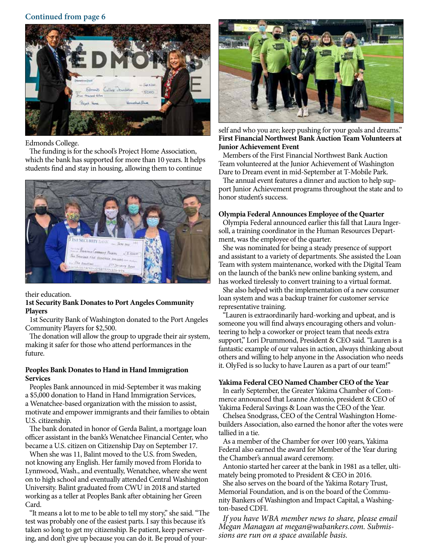#### **Continued from page 6**



Edmonds College.

The funding is for the school's Project Home Association, which the bank has supported for more than 10 years. It helps students find and stay in housing, allowing them to continue



their education.

#### **1st Security Bank Donates to Port Angeles Community Players**

1st Security Bank of Washington donated to the Port Angeles Community Players for \$2,500.

The donation will allow the group to upgrade their air system, making it safer for those who attend performances in the future.

#### **Peoples Bank Donates to Hand in Hand Immigration Services**

Peoples Bank announced in mid-September it was making a \$5,000 donation to Hand in Hand Immigration Services, a Wenatchee-based organization with the mission to assist, motivate and empower immigrants and their families to obtain U.S. citizenship.

The bank donated in honor of Gerda Balint, a mortgage loan officer assistant in the bank's Wenatchee Financial Center, who became a U.S. citizen on Citizenship Day on September 17.

When she was 11, Balint moved to the U.S. from Sweden, not knowing any English. Her family moved from Florida to Lynnwood, Wash., and eventually, Wenatchee, where she went on to high school and eventually attended Central Washington University. Balint graduated from CWU in 2018 and started working as a teller at Peoples Bank after obtaining her Green Card.

"It means a lot to me to be able to tell my story," she said. "The test was probably one of the easiest parts. I say this because it's taken so long to get my citizenship. Be patient, keep persevering, and don't give up because you can do it. Be proud of your-



self and who you are; keep pushing for your goals and dreams.' **First Financial Northwest Bank Auction Team Volunteers at Junior Achievement Event**

Members of the First Financial Northwest Bank Auction Team volunteered at the Junior Achievement of Washington Dare to Dream event in mid-September at T-Mobile Park.

The annual event features a dinner and auction to help support Junior Achievement programs throughout the state and to honor student's success.

#### **Olympia Federal Announces Employee of the Quarter**

Olympia Federal announced earlier this fall that Laura Ingersoll, a training coordinator in the Human Resources Department, was the employee of the quarter.

She was nominated for being a steady presence of support and assistant to a variety of departments. She assisted the Loan Team with system maintenance, worked with the Digital Team on the launch of the bank's new online banking system, and has worked tirelessly to convert training to a virtual format.

She also helped with the implementation of a new consumer loan system and was a backup trainer for customer service representative training.

"Lauren is extraordinarily hard-working and upbeat, and is someone you will find always encouraging others and volunteering to help a coworker or project team that needs extra support," Lori Drummond, President & CEO said. "Lauren is a fantastic example of our values in action, always thinking about others and willing to help anyone in the Association who needs it. OlyFed is so lucky to have Lauren as a part of our team!"

#### **Yakima Federal CEO Named Chamber CEO of the Year**

In early September, the Greater Yakima Chamber of Commerce announced that Leanne Antonio, president & CEO of Yakima Federal Savings & Loan was the CEO of the Year.

Chelsea Snodgrass, CEO of the Central Washington Homebuilders Association, also earned the honor after the votes were tallied in a tie.

As a member of the Chamber for over 100 years, Yakima Federal also earned the award for Member of the Year during the Chamber's annual award ceremony.

Antonio started her career at the bank in 1981 as a teller, ultimately being promoted to President & CEO in 2016.

She also serves on the board of the Yakima Rotary Trust, Memorial Foundation, and is on the board of the Community Bankers of Washington and Impact Capital, a Washington-based CDFI.

*If you have WBA member news to share, please email Megan Managan at megan@wabankers.com. Submis- sions are run on a space available basis.*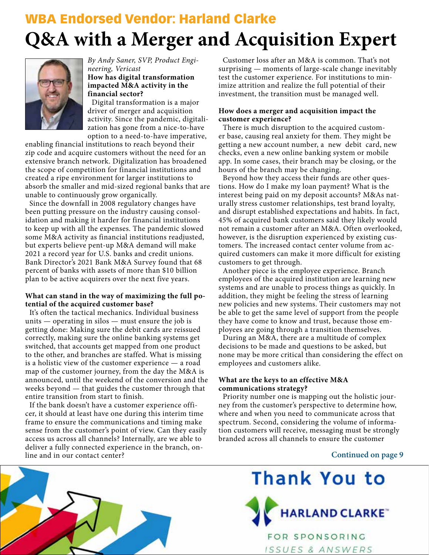## **Q&A with a Merger and Acquisition Expert** WBA Endorsed Vendor: Harland Clarke



*By Andy Saner, SVP, Product Engineering, Vericast* **How has digital transformation impacted M&A activity in the** 

**financial sector?** Digital transformation is a major driver of merger and acquisition activity. Since the pandemic, digitalization has gone from a nice-to-have option to a need-to-have imperative,

enabling financial institutions to reach beyond their zip code and acquire customers without the need for an extensive branch network. Digitalization has broadened the scope of competition for financial institutions and created a ripe environment for larger institutions to absorb the smaller and mid-sized regional banks that are unable to continuously grow organically.

Since the downfall in 2008 regulatory changes have been putting pressure on the industry causing consolidation and making it harder for financial institutions to keep up with all the expenses. The pandemic slowed some M&A activity as financial institutions readjusted, but experts believe pent-up M&A demand will make 2021 a record year for U.S. banks and credit unions. Bank Director's 2021 Bank M&A Survey found that 68 percent of banks with assets of more than \$10 billion plan to be active acquirers over the next five years.

#### **What can stand in the way of maximizing the full potential of the acquired customer base?**

It's often the tactical mechanics. Individual business units — operating in silos — must ensure the job is getting done: Making sure the debit cards are reissued correctly, making sure the online banking systems get switched, that accounts get mapped from one product to the other, and branches are staffed. What is missing is a holistic view of the customer experience — a road map of the customer journey, from the day the M&A is announced, until the weekend of the conversion and the weeks beyond — that guides the customer through that entire transition from start to finish.

If the bank doesn't have a customer experience officer, it should at least have one during this interim time frame to ensure the communications and timing make sense from the customer's point of view. Can they easily access us across all channels? Internally, are we able to deliver a fully connected experience in the branch, online and in our contact center?

Customer loss after an M&A is common. That's not surprising — moments of large-scale change inevitably test the customer experience. For institutions to minimize attrition and realize the full potential of their investment, the transition must be managed well.

#### **How does a merger and acquisition impact the customer experience?**

There is much disruption to the acquired customer base, causing real anxiety for them. They might be getting a new account number, a new debit card, new checks, even a new online banking system or mobile app. In some cases, their branch may be closing, or the hours of the branch may be changing.

Beyond how they access their funds are other questions. How do I make my loan payment? What is the interest being paid on my deposit accounts? M&As naturally stress customer relationships, test brand loyalty, and disrupt established expectations and habits. In fact, 45% of acquired bank customers said they likely would not remain a customer after an M&A. Often overlooked, however, is the disruption experienced by existing customers. The increased contact center volume from acquired customers can make it more difficult for existing customers to get through.

Another piece is the employee experience. Branch employees of the acquired institution are learning new systems and are unable to process things as quickly. In addition, they might be feeling the stress of learning new policies and new systems. Their customers may not be able to get the same level of support from the people they have come to know and trust, because those employees are going through a transition themselves.

During an M&A, there are a multitude of complex decisions to be made and questions to be asked, but none may be more critical than considering the effect on employees and customers alike.

#### **What are the keys to an effective M&A communications strategy?**

Priority number one is mapping out the holistic journey from the customer's perspective to determine how, where and when you need to communicate across that spectrum. Second, considering the volume of information customers will receive, messaging must be strongly branded across all channels to ensure the customer

#### **Continued on page 9**





ISSUES & ANSWERS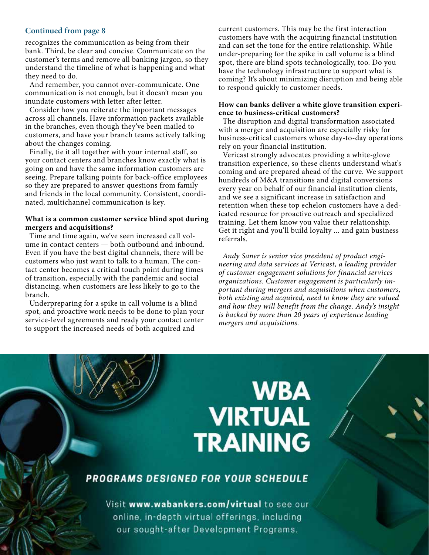#### **Continued from page 8**

recognizes the communication as being from their bank. Third, be clear and concise. Communicate on the customer's terms and remove all banking jargon, so they understand the timeline of what is happening and what they need to do.

And remember, you cannot over-communicate. One communication is not enough, but it doesn't mean you inundate customers with letter after letter.

Consider how you reiterate the important messages across all channels. Have information packets available in the branches, even though they've been mailed to customers, and have your branch teams actively talking about the changes coming.

Finally, tie it all together with your internal staff, so your contact centers and branches know exactly what is going on and have the same information customers are seeing. Prepare talking points for back-office employees so they are prepared to answer questions from family and friends in the local community. Consistent, coordinated, multichannel communication is key.

#### **What is a common customer service blind spot during mergers and acquisitions?**

Time and time again, we've seen increased call volume in contact centers — both outbound and inbound. Even if you have the best digital channels, there will be customers who just want to talk to a human. The contact center becomes a critical touch point during times of transition, especially with the pandemic and social distancing, when customers are less likely to go to the branch.

Underpreparing for a spike in call volume is a blind spot, and proactive work needs to be done to plan your service-level agreements and ready your contact center to support the increased needs of both acquired and

current customers. This may be the first interaction customers have with the acquiring financial institution and can set the tone for the entire relationship. While under-preparing for the spike in call volume is a blind spot, there are blind spots technologically, too. Do you have the technology infrastructure to support what is coming? It's about minimizing disruption and being able to respond quickly to customer needs.

#### **How can banks deliver a white glove transition experience to business-critical customers?**

The disruption and digital transformation associated with a merger and acquisition are especially risky for business-critical customers whose day-to-day operations rely on your financial institution.

Vericast strongly advocates providing a white-glove transition experience, so these clients understand what's coming and are prepared ahead of the curve. We support hundreds of M&A transitions and digital conversions every year on behalf of our financial institution clients, and we see a significant increase in satisfaction and retention when these top echelon customers have a dedicated resource for proactive outreach and specialized training. Let them know you value their relationship. Get it right and you'll build loyalty ... and gain business referrals.

*Andy Saner is senior vice president of product engineering and data services at Vericast, a leading provider of customer engagement solutions for financial services organizations. Customer engagement is particularly important during mergers and acquisitions when customers, both existing and acquired, need to know they are valued and how they will benefit from the change. Andy's insight is backed by more than 20 years of experience leading mergers and acquisitions.*

# **WBA VIRTUAL TRAINING**

#### PROGRAMS DESIGNED FOR YOUR SCHEDULE

Visit www.wabankers.com/virtual to see our online, in-depth virtual offerings, including our sought-after Development Programs.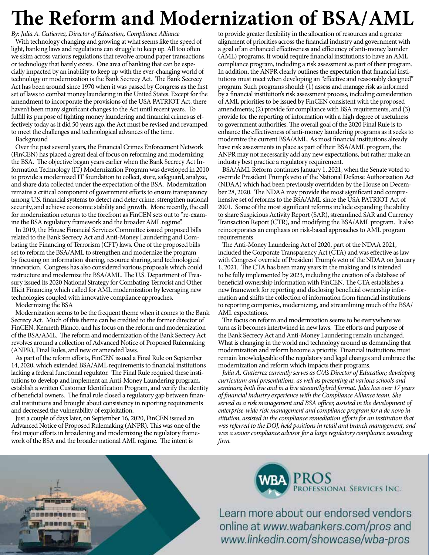# **The Reform and Modernization of BSA/AML**

*By: Julia A. Gutierrez, Director of Education, Compliance Alliance* With technology changing and growing at what seems like the speed of light, banking laws and regulations can struggle to keep up. All too often we skim across various regulations that revolve around paper transactions or technology that barely exists. One area of banking that can be especially impacted by an inability to keep up with the ever-changing world of technology or modernization is the Bank Secrecy Act. The Bank Secrecy Act has been around since 1970 when it was passed by Congress as the first set of laws to combat money laundering in the United States. Except for the amendment to incorporate the provisions of the USA PATRIOT Act, there haven't been many significant changes to the Act until recent years. To fulfill its purpose of fighting money laundering and financial crimes as effectively today as it did 50 years ago, the Act must be revised and revamped to meet the challenges and technological advances of the time.

Background

Over the past several years, the Financial Crimes Enforcement Network (FinCEN) has placed a great deal of focus on reforming and modernizing the BSA. The objective began years earlier when the Bank Secrecy Act Information Technology (IT) Modernization Program was developed in 2010 to provide a modernized IT foundation to collect, store, safeguard, analyze, and share data collected under the expectation of the BSA. Modernization remains a critical component of government efforts to ensure transparency among U.S. financial systems to detect and deter crime, strengthen national security, and achieve economic stability and growth. More recently, the call for modernization returns to the forefront as FinCEN sets out to "re-examine the BSA regulatory framework and the broader AML regime".

In 2019, the House Financial Services Committee issued proposed bills related to the Bank Secrecy Act and Anti-Money Laundering and Combating the Financing of Terrorism (CFT) laws. One of the proposed bills set to reform the BSA/AML to strengthen and modernize the program by focusing on information sharing, resource sharing, and technological innovation. Congress has also considered various proposals which could restructure and modernize the BSA/AML. The U.S. Department of Treasury issued its 2020 National Strategy for Combating Terrorist and Other Illicit Financing which called for AML modernization by leveraging new technologies coupled with innovative compliance approaches.

Modernizing the BSA

Modernization seems to be the frequent theme when it comes to the Bank Secrecy Act. Much of this theme can be credited to the former director of FinCEN, Kenneth Blanco, and his focus on the reform and modernization of the BSA/AML. The reform and modernization of the Bank Secrecy Act revolves around a collection of Advanced Notice of Proposed Rulemaking (ANPR), Final Rules, and new or amended laws.

As part of the reform efforts, FinCEN issued a Final Rule on September 14, 2020, which extended BSA/AML requirements to financial institutions lacking a federal functional regulator. The Final Rule required these institutions to develop and implement an Anti-Money Laundering program, establish a written Customer Identification Program, and verify the identity of beneficial owners. The final rule closed a regulatory gap between financial institutions and brought about consistency in reporting requirements and decreased the vulnerability of exploitation.

Just a couple of days later, on September 16, 2020, FinCEN issued an Advanced Notice of Proposed Rulemaking (ANPR). This was one of the first major efforts in broadening and modernizing the regulatory framework of the BSA and the broader national AML regime. The intent is

to provide greater flexibility in the allocation of resources and a greater alignment of priorities across the financial industry and government with a goal of an enhanced effectiveness and efficiency of anti-money launder (AML) programs. It would require financial institutions to have an AML compliance program, including a risk assessment as part of their program. In addition, the ANPR clearly outlines the expectation that financial institutions must meet when developing an "effective and reasonably designed" program. Such programs should: (1) assess and manage risk as informed by a financial institution's risk assessment process, including consideration of AML priorities to be issued by FinCEN consistent with the proposed amendments; (2) provide for compliance with BSA requirements, and (3) provide for the reporting of information with a high degree of usefulness to government authorities. The overall goal of the 2020 Final Rule is to enhance the effectiveness of anti-money laundering programs as it seeks to modernize the current BSA/AML. As most financial institutions already have risk assessments in place as part of their BSA/AML program, the ANPR may not necessarily add any new expectations, but rather make an industry best practice a regulatory requirement.

BSA/AML Reform continues January 1, 2021, when the Senate voted to override President Trump's veto of the National Defense Authorization Act (NDAA) which had been previously overridden by the House on December 28, 2020. The NDAA may provide the most significant and comprehensive set of reforms to the BSA/AML since the USA PATRIOT Act of 2001. Some of the most significant reforms include expanding the ability to share Suspicious Activity Report (SAR), streamlined SAR and Currency Transaction Report (CTR), and modifying the BSA/AML program. It also reincorporates an emphasis on risk-based approaches to AML program requirements

The Anti-Money Laundering Act of 2020, part of the NDAA 2021, included the Corporate Transparency Act (CTA) and was effective as law with Congress' override of President Trump's veto of the NDAA on January 1, 2021. The CTA has been many years in the making and is intended to be fully implemented by 2023, including the creation of a database of beneficial ownership information with FinCEN. The CTA establishes a new framework for reporting and disclosing beneficial ownership information and shifts the collection of information from financial institutions to reporting companies, modernizing, and streamlining much of the BSA/ AML expectations.

The focus on reform and modernization seems to be everywhere we turn as it becomes intertwined in new laws. The efforts and purpose of the Bank Secrecy Act and Anti-Money Laundering remain unchanged. What is changing in the world and technology around us demanding that modernization and reform become a priority. Financial institutions must remain knowledgeable of the regulatory and legal changes and embrace the modernization and reform which impacts their programs.

*Julia A. Gutierrez currently serves as C/A's Director of Education; developing curriculum and presentations, as well as presenting at various schools and seminars; both live and in a live stream/hybrid format. Julia has over 17 years of financial industry experience with the Compliance Alliance team. She served as a risk management and BSA officer, assisted in the development of enterprise-wide risk management and compliance program for a de novo institution, assisted in the compliance remediation efforts for an institution that was referred to the DOJ, held positions in retail and branch management, and was a senior compliance advisor for a large regulatory compliance consulting firm.* 



**BA** PROS<br>PROFESSIONAL SERVICES INC.

Learn more about our endorsed vendors online at www.wabankers.com/pros and www.linkedin.com/showcase/wba-pros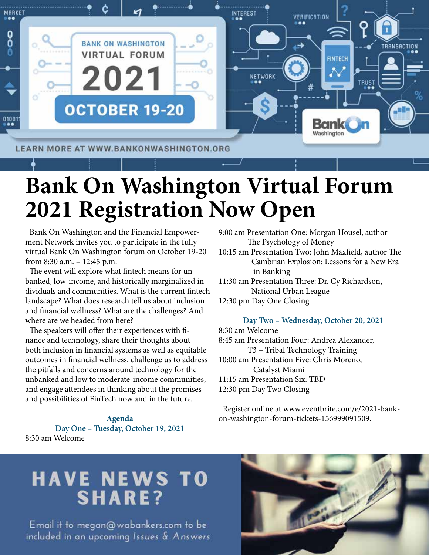

# **Bank On Washington Virtual Forum 2021 Registration Now Open**

Bank On Washington and the Financial Empowerment Network invites you to participate in the fully virtual Bank On Washington forum on October 19-20 from 8:30 a.m. – 12:45 p.m.

The event will explore what fintech means for unbanked, low-income, and historically marginalized individuals and communities. What is the current fintech landscape? What does research tell us about inclusion and financial wellness? What are the challenges? And where are we headed from here?

The speakers will offer their experiences with finance and technology, share their thoughts about both inclusion in financial systems as well as equitable outcomes in financial wellness, challenge us to address the pitfalls and concerns around technology for the unbanked and low to moderate-income communities, and engage attendees in thinking about the promises and possibilities of FinTech now and in the future.

**Agenda Day One – Tuesday, October 19, 2021** 8:30 am Welcome

9:00 am Presentation One: Morgan Housel, author The Psychology of Money 10:15 am Presentation Two: John Maxfield, author The Cambrian Explosion: Lessons for a New Era in Banking 11:30 am Presentation Three: Dr. Cy Richardson, National Urban League 12:30 pm Day One Closing

**Day Two – Wednesday, October 20, 2021**

8:30 am Welcome 8:45 am Presentation Four: Andrea Alexander, T3 – Tribal Technology Training 10:00 am Presentation Five: Chris Moreno, Catalyst Miami 11:15 am Presentation Six: TBD 12:30 pm Day Two Closing

Register online at www.eventbrite.com/e/2021-bankon-washington-forum-tickets-156999091509.

## **HAVE NEWS TO SHARE?**

Email it to megan@wabankers.com to be included in an upcoming Issues & Answers